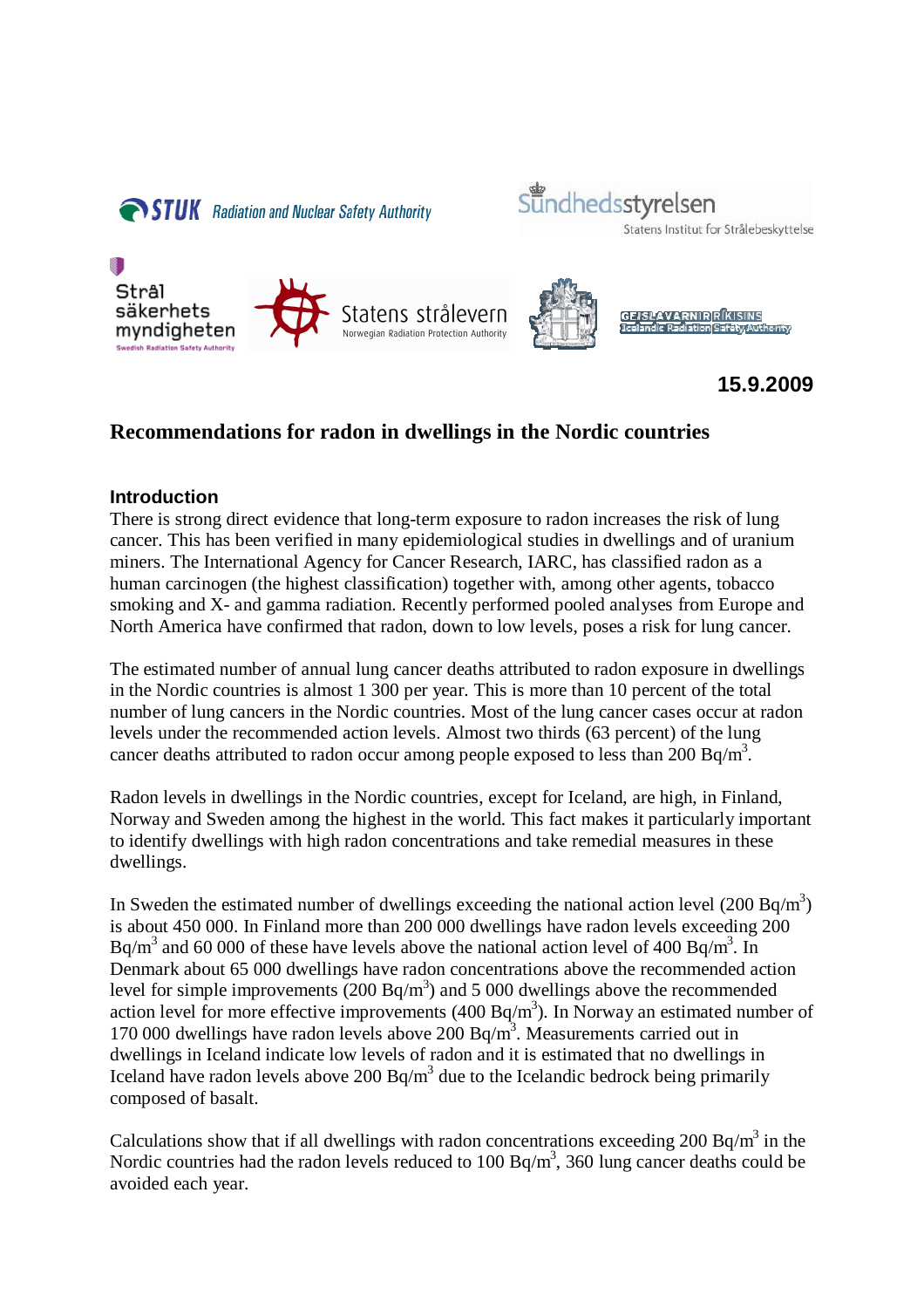

**15.9.2009**

# **Recommendations for radon in dwellings in the Nordic countries**

#### **Introduction**

There is strong direct evidence that long-term exposure to radon increases the risk of lung cancer. This has been verified in many epidemiological studies in dwellings and of uranium miners. The International Agency for Cancer Research, IARC, has classified radon as a human carcinogen (the highest classification) together with, among other agents, tobacco smoking and X- and gamma radiation. Recently performed pooled analyses from Europe and North America have confirmed that radon, down to low levels, poses a risk for lung cancer.

The estimated number of annual lung cancer deaths attributed to radon exposure in dwellings in the Nordic countries is almost 1 300 per year. This is more than 10 percent of the total number of lung cancers in the Nordic countries. Most of the lung cancer cases occur at radon levels under the recommended action levels. Almost two thirds (63 percent) of the lung cancer deaths attributed to radon occur among people exposed to less than 200 Bq/m<sup>3</sup>.

Radon levels in dwellings in the Nordic countries, except for Iceland, are high, in Finland, Norway and Sweden among the highest in the world. This fact makes it particularly important to identify dwellings with high radon concentrations and take remedial measures in these dwellings.

In Sweden the estimated number of dwellings exceeding the national action level  $(200 Bq/m<sup>3</sup>)$ is about 450 000. In Finland more than 200 000 dwellings have radon levels exceeding 200 Bq/m<sup>3</sup> and 60 000 of these have levels above the national action level of 400 Bq/m<sup>3</sup>. In Denmark about 65 000 dwellings have radon concentrations above the recommended action level for simple improvements  $(200 Bq/m<sup>3</sup>)$  and 5 000 dwellings above the recommended action level for more effective improvements  $(400 Bq/m<sup>3</sup>)$ . In Norway an estimated number of 170 000 dwellings have radon levels above 200  $Bq/m<sup>3</sup>$ . Measurements carried out in dwellings in Iceland indicate low levels of radon and it is estimated that no dwellings in Iceland have radon levels above 200  $Bq/m<sup>3</sup>$  due to the Icelandic bedrock being primarily composed of basalt.

Calculations show that if all dwellings with radon concentrations exceeding  $200$  Bq/m<sup>3</sup> in the Nordic countries had the radon levels reduced to 100 Bq/m<sup>3</sup>, 360 lung cancer deaths could be avoided each year.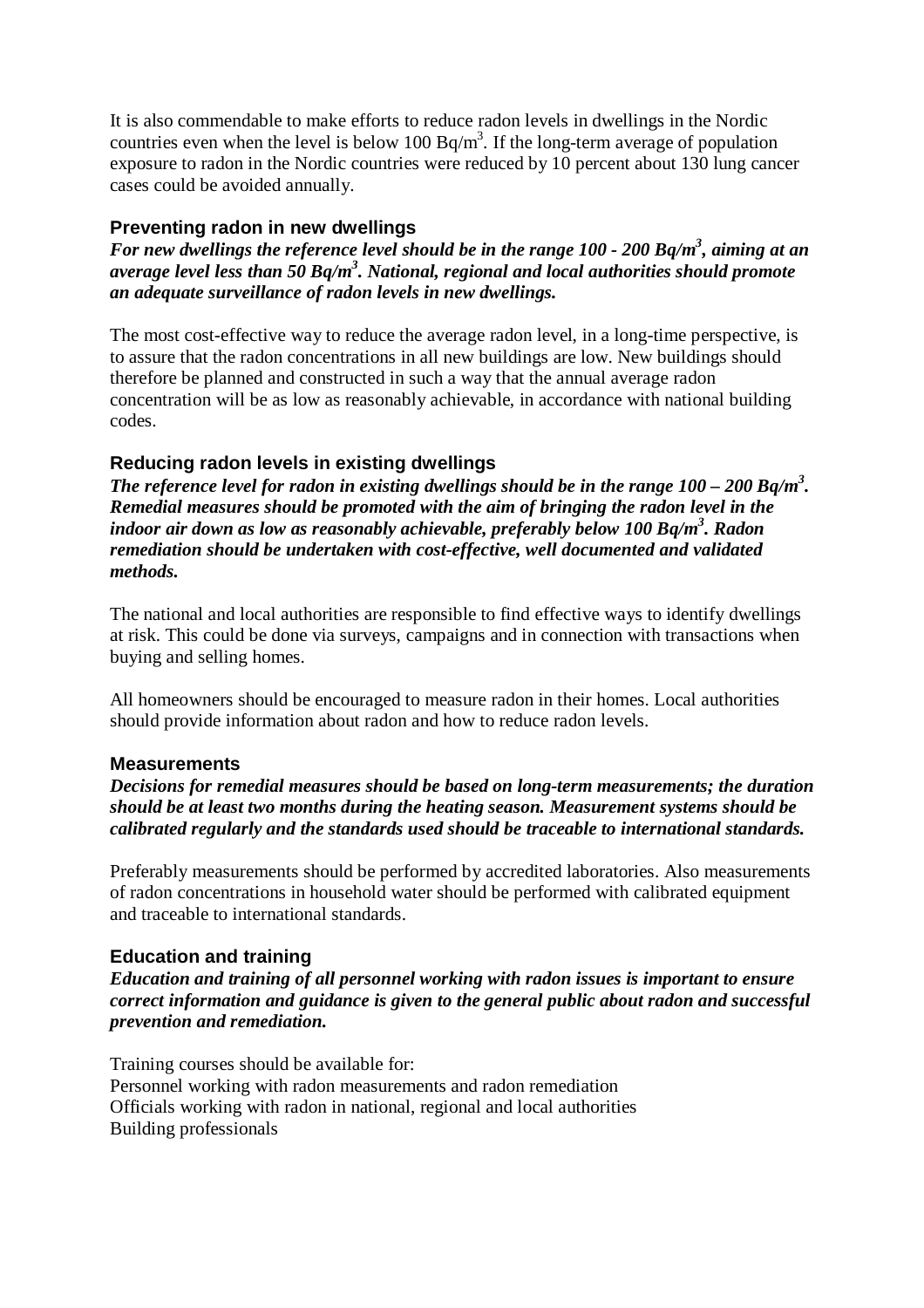It is also commendable to make efforts to reduce radon levels in dwellings in the Nordic countries even when the level is below 100 Bq/m<sup>3</sup>. If the long-term average of population exposure to radon in the Nordic countries were reduced by 10 percent about 130 lung cancer cases could be avoided annually.

## **Preventing radon in new dwellings**

*For new dwellings the reference level should be in the range 100 - 200 Bq/m<sup>3</sup> , aiming at an average level less than 50 Bq/m<sup>3</sup> . National, regional and local authorities should promote an adequate surveillance of radon levels in new dwellings.*

The most cost-effective way to reduce the average radon level, in a long-time perspective, is to assure that the radon concentrations in all new buildings are low. New buildings should therefore be planned and constructed in such a way that the annual average radon concentration will be as low as reasonably achievable, in accordance with national building codes.

## **Reducing radon levels in existing dwellings**

*The reference level for radon in existing dwellings should be in the range 100 – 200 Bq/m<sup>3</sup> . Remedial measures should be promoted with the aim of bringing the radon level in the indoor air down as low as reasonably achievable, preferably below 100 Bq/m<sup>3</sup> . Radon remediation should be undertaken with cost-effective, well documented and validated methods.* 

The national and local authorities are responsible to find effective ways to identify dwellings at risk. This could be done via surveys, campaigns and in connection with transactions when buying and selling homes.

All homeowners should be encouraged to measure radon in their homes. Local authorities should provide information about radon and how to reduce radon levels.

#### **Measurements**

*Decisions for remedial measures should be based on long-term measurements; the duration should be at least two months during the heating season. Measurement systems should be calibrated regularly and the standards used should be traceable to international standards.* 

Preferably measurements should be performed by accredited laboratories. Also measurements of radon concentrations in household water should be performed with calibrated equipment and traceable to international standards.

#### **Education and training**

*Education and training of all personnel working with radon issues is important to ensure correct information and guidance is given to the general public about radon and successful prevention and remediation.* 

Training courses should be available for: Personnel working with radon measurements and radon remediation Officials working with radon in national, regional and local authorities Building professionals